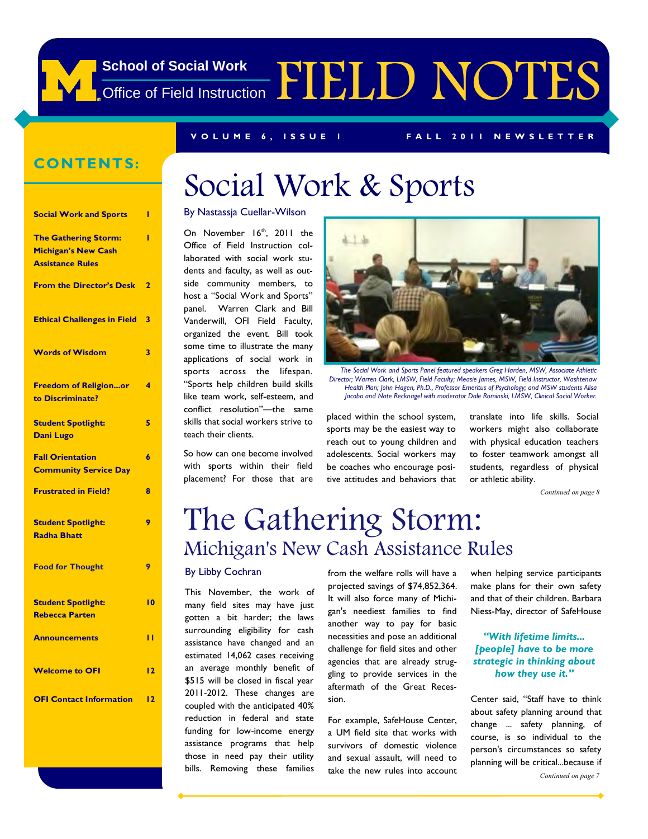

### **CONTENTS:**

| <b>Social Work and Sports</b>                                                        | ı               |
|--------------------------------------------------------------------------------------|-----------------|
| <b>The Gathering Storm:</b><br><b>Michigan's New Cash</b><br><b>Assistance Rules</b> | ı               |
| <b>From the Director's Desk</b>                                                      | 2               |
| <b>Ethical Challenges in Field</b>                                                   | 3               |
| <b>Words of Wisdom</b>                                                               | 3               |
| <b>Freedom of Religionor</b><br>to Discriminate?                                     | 4               |
| <b>Student Spotlight:</b><br>Dani Lugo                                               | 5               |
| <b>Fall Orientation</b><br><b>Community Service Day</b>                              | 6               |
| <b>Frustrated in Field?</b>                                                          | 8               |
| <b>Student Spotlight:</b><br><b>Radha Bhatt</b>                                      | 9               |
| <b>Food for Thought</b>                                                              | 9               |
| <b>Student Spotlight:</b><br><b>Rebecca Parten</b>                                   | $\overline{10}$ |
| <b>Announcements</b>                                                                 | п               |
| <b>Welcome to OFI</b>                                                                | $\overline{12}$ |
| <b>OFI Contact Information</b>                                                       | $\overline{12}$ |

# Social Work & Sports

#### By Nastassja Cuellar-Wilson

On November 16<sup>th</sup>, 2011 the Office of Field Instruction collaborated with social work students and faculty, as well as outside community members, to host a "Social Work and Sports" panel. Warren Clark and Bill Vanderwill, OFI Field Faculty, organized the event. Bill took some time to illustrate the many applications of social work in sports across the lifespan. ―Sports help children build skills like team work, self-esteem, and conflict resolution"--- the same skills that social workers strive to teach their clients.

So how can one become involved with sports within their field placement? For those that are



*The Social Work and Sports Panel featured speakers Greg Harden, MSW, Associate Athletic Director; Warren Clark, LMSW, Field Faculty; Measie James, MSW, Field Instructor, Washtenaw Health Plan; John Hagen, Ph.D., Professor Emeritus of Psychology; and MSW students Alisa*  Jacobo and Nate Recknagel with moderator Dale Rominski, LMSW, Clinical Social Worker.

placed within the school system, sports may be the easiest way to reach out to young children and adolescents. Social workers may be coaches who encourage positive attitudes and behaviors that

translate into life skills. Social workers might also collaborate with physical education teachers to foster teamwork amongst all students, regardless of physical or athletic ability.

*Continued on page 8* 

## The Gathering Storm: Michigan's New Cash Assistance Rules

#### By Libby Cochran

This November, the work of many field sites may have just gotten a bit harder; the laws surrounding eligibility for cash assistance have changed and an estimated 14,062 cases receiving an average monthly benefit of \$515 will be closed in fiscal year 2011-2012. These changes are coupled with the anticipated 40% reduction in federal and state funding for low-income energy assistance programs that help those in need pay their utility bills. Removing these families

from the welfare rolls will have a projected savings of \$74,852,364. It will also force many of Michigan's neediest families to find another way to pay for basic necessities and pose an additional challenge for field sites and other agencies that are already struggling to provide services in the aftermath of the Great Recession.

For example, SafeHouse Center, a UM field site that works with survivors of domestic violence and sexual assault, will need to take the new rules into account when helping service participants make plans for their own safety and that of their children. Barbara Niess-May, director of SafeHouse

#### *"With lifetime limits... [people] have to be more strategic in thinking about how they use it."*

Center said, "Staff have to think about safety planning around that change ... safety planning, of course, is so individual to the person's circumstances so safety planning will be critical...because if

*Continued on page 7*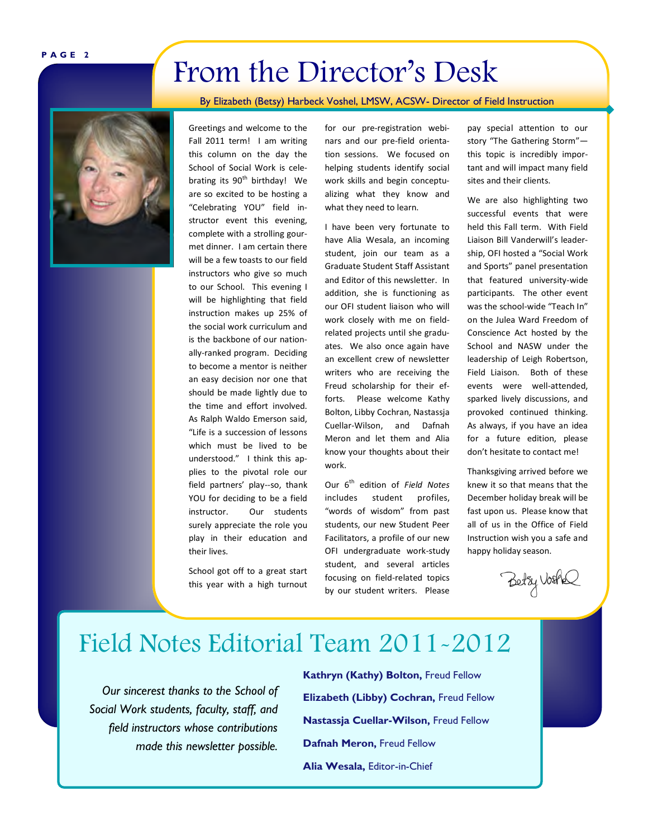#### **P A G E 2**

## From the Director's Desk

By Elizabeth (Betsy) Harbeck Voshel, LMSW, ACSW- Director of Field Instruction



Greetings and welcome to the Fall 2011 term! I am writing this column on the day the School of Social Work is celebrating its  $90<sup>th</sup>$  birthday! We are so excited to be hosting a "Celebrating YOU" field instructor event this evening, complete with a strolling gourmet dinner. I am certain there will be a few toasts to our field instructors who give so much to our School. This evening I will be highlighting that field instruction makes up 25% of the social work curriculum and is the backbone of our nationally-ranked program. Deciding to become a mentor is neither an easy decision nor one that should be made lightly due to the time and effort involved. As Ralph Waldo Emerson said, "Life is a succession of lessons which must be lived to be understood." I think this applies to the pivotal role our field partners' play--so, thank YOU for deciding to be a field instructor. Our students surely appreciate the role you play in their education and their lives.

School got off to a great start this year with a high turnout for our pre-registration webinars and our pre-field orientation sessions. We focused on helping students identify social work skills and begin conceptualizing what they know and what they need to learn.

I have been very fortunate to have Alia Wesala, an incoming student, join our team as a Graduate Student Staff Assistant and Editor of this newsletter. In addition, she is functioning as our OFI student liaison who will work closely with me on fieldrelated projects until she graduates. We also once again have an excellent crew of newsletter writers who are receiving the Freud scholarship for their efforts. Please welcome Kathy Bolton, Libby Cochran, Nastassja Cuellar-Wilson, and Dafnah Meron and let them and Alia know your thoughts about their work.

Our 6<sup>th</sup> edition of Field Notes includes student profiles, "words of wisdom" from past students, our new Student Peer Facilitators, a profile of our new OFI undergraduate work-study student, and several articles focusing on field-related topics by our student writers. Please pay special attention to our story "The Gathering Storm" this topic is incredibly important and will impact many field sites and their clients.

We are also highlighting two successful events that were held this Fall term. With Field Liaison Bill Vanderwill's leadership, OFI hosted a "Social Work and Sports" panel presentation that featured university-wide participants. The other event was the school-wide "Teach In" on the Julea Ward Freedom of Conscience Act hosted by the School and NASW under the leadership of Leigh Robertson, Field Liaison. Both of these events were well-attended, sparked lively discussions, and provoked continued thinking. As always, if you have an idea for a future edition, please don't hesitate to contact me!

Thanksgiving arrived before we knew it so that means that the December holiday break will be fast upon us. Please know that all of us in the Office of Field Instruction wish you a safe and happy holiday season.

Betzy VosAs

### Field Notes Editorial Team 2011-2012

*Our sincerest thanks to the School of Social Work students, faculty, staff, and field instructors whose contributions made this newsletter possible.*  **Kathryn (Kathy) Bolton,** Freud Fellow **Elizabeth (Libby) Cochran,** Freud Fellow **Nastassja Cuellar-Wilson,** Freud Fellow **Dafnah Meron,** Freud Fellow **Alia Wesala,** Editor-in-Chief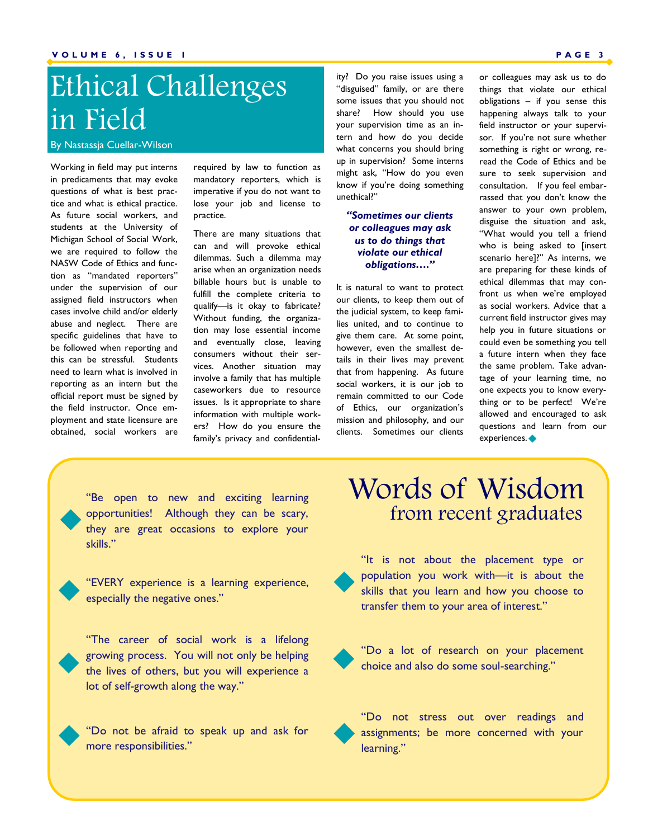# Ethical Challenges in Field

By Nastassja Cuellar-Wilson

Working in field may put interns in predicaments that may evoke questions of what is best practice and what is ethical practice. As future social workers, and students at the University of Michigan School of Social Work, we are required to follow the NASW Code of Ethics and function as "mandated reporters" under the supervision of our assigned field instructors when cases involve child and/or elderly abuse and neglect. There are specific guidelines that have to be followed when reporting and this can be stressful. Students need to learn what is involved in reporting as an intern but the official report must be signed by the field instructor. Once employment and state licensure are obtained, social workers are required by law to function as mandatory reporters, which is imperative if you do not want to lose your job and license to practice.

There are many situations that can and will provoke ethical dilemmas. Such a dilemma may arise when an organization needs billable hours but is unable to fulfill the complete criteria to qualify—is it okay to fabricate? Without funding, the organization may lose essential income and eventually close, leaving consumers without their services. Another situation may involve a family that has multiple caseworkers due to resource issues. Is it appropriate to share information with multiple workers? How do you ensure the family's privacy and confidentiality? Do you raise issues using a "disguised" family, or are there some issues that you should not share? How should you use your supervision time as an intern and how do you decide what concerns you should bring up in supervision? Some interns might ask, "How do you even know if you're doing something unethical?‖

#### *"Sometimes our clients or colleagues may ask us to do things that violate our ethical obligations…."*

It is natural to want to protect our clients, to keep them out of the judicial system, to keep families united, and to continue to give them care. At some point, however, even the smallest details in their lives may prevent that from happening. As future social workers, it is our job to remain committed to our Code of Ethics, our organization's mission and philosophy, and our clients. Sometimes our clients

or colleagues may ask us to do things that violate our ethical obligations – if you sense this happening always talk to your field instructor or your supervisor. If you're not sure whether something is right or wrong, reread the Code of Ethics and be sure to seek supervision and consultation. If you feel embarrassed that you don't know the answer to your own problem, disguise the situation and ask, "What would you tell a friend who is being asked to [insert scenario here]?" As interns, we are preparing for these kinds of ethical dilemmas that may confront us when we're employed as social workers. Advice that a current field instructor gives may help you in future situations or could even be something you tell a future intern when they face the same problem. Take advantage of your learning time, no one expects you to know everything or to be perfect! We're allowed and encouraged to ask questions and learn from our experiences.

"Be open to new and exciting learning opportunities! Although they can be scary, they are great occasions to explore your skills."



"The career of social work is a lifelong growing process. You will not only be helping the lives of others, but you will experience a lot of self-growth along the way."

"Do not be afraid to speak up and ask for more responsibilities."

### Words of Wisdom from recent graduates



"It is not about the placement type or population you work with—it is about the skills that you learn and how you choose to transfer them to your area of interest."



"Do a lot of research on your placement choice and also do some soul-searching."

"Do not stress out over readings and assignments; be more concerned with your learning."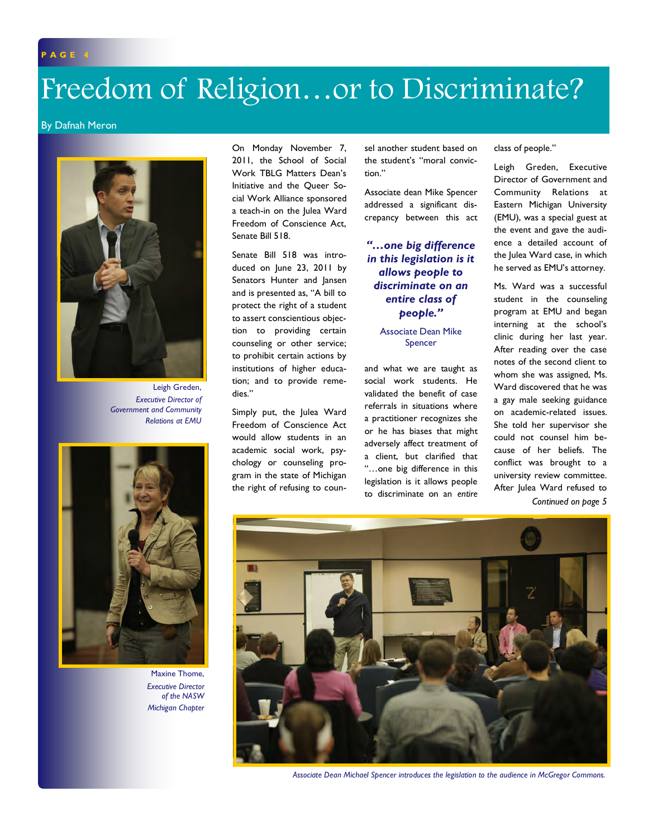# Freedom of Religion…or to Discriminate?

#### By Dafnah Meron



Leigh Greden, *Executive Director of Government and Community Relations at EMU* 



Maxine Thome, *Executive Director of the NASW Michigan Chapter* 

On Monday November 7, 2011, the School of Social Work TBLG Matters Dean's Initiative and the Queer Social Work Alliance sponsored a teach-in on the Julea Ward Freedom of Conscience Act, Senate Bill 518.

Senate Bill 518 was introduced on June 23, 2011 by Senators Hunter and Jansen and is presented as, "A bill to protect the right of a student to assert conscientious objection to providing certain counseling or other service; to prohibit certain actions by institutions of higher education; and to provide remedies."

Simply put, the Julea Ward Freedom of Conscience Act would allow students in an academic social work, psychology or counseling program in the state of Michigan the right of refusing to counsel another student based on the student's "moral conviction."

Associate dean Mike Spencer addressed a significant discrepancy between this act

#### *"…one big difference in this legislation is it allows people to discriminate on an entire class of people."*

Associate Dean Mike Spencer

and what we are taught as social work students. He validated the benefit of case referrals in situations where a practitioner recognizes she or he has biases that might adversely affect treatment of a client, but clarified that ―…one big difference in this legislation is it allows people to discriminate on an *entire*

class of people."

Leigh Greden, Executive Director of Government and Community Relations at Eastern Michigan University (EMU), was a special guest at the event and gave the audience a detailed account of the Julea Ward case, in which he served as EMU's attorney.

Ms. Ward was a successful student in the counseling program at EMU and began interning at the school's clinic during her last year. After reading over the case notes of the second client to whom she was assigned, Ms. Ward discovered that he was a gay male seeking guidance on academic-related issues. She told her supervisor she could not counsel him because of her beliefs. The conflict was brought to a university review committee. After Julea Ward refused to



*Associate Dean Michael Spencer introduces the legislation to the audience in McGregor Commons.*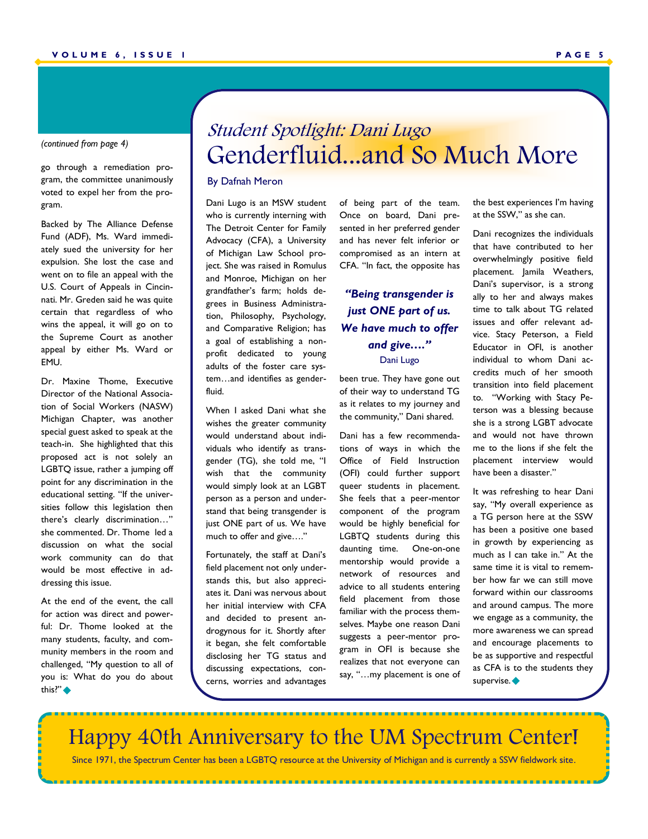#### *(continued from page 4)*

go through a remediation program, the committee unanimously voted to expel her from the program.

Backed by The Alliance Defense Fund (ADF), Ms. Ward immediately sued the university for her expulsion. She lost the case and went on to file an appeal with the U.S. Court of Appeals in Cincinnati. Mr. Greden said he was quite certain that regardless of who wins the appeal, it will go on to the Supreme Court as another appeal by either Ms. Ward or EMU.

Dr. Maxine Thome, Executive Director of the National Association of Social Workers (NASW) Michigan Chapter, was another special guest asked to speak at the teach-in. She highlighted that this proposed act is not solely an LGBTQ issue, rather a jumping off point for any discrimination in the educational setting. "If the universities follow this legislation then there's clearly discrimination..." she commented. Dr. Thome led a discussion on what the social work community can do that would be most effective in addressing this issue.

At the end of the event, the call for action was direct and powerful: Dr. Thome looked at the many students, faculty, and community members in the room and challenged, "My question to all of you is: What do you do about this?"  $\blacklozenge$ 

### Student Spotlight: Dani Lugo Genderfluid...and So Much More

#### By Dafnah Meron

Dani Lugo is an MSW student who is currently interning with The Detroit Center for Family Advocacy (CFA), a University of Michigan Law School project. She was raised in Romulus and Monroe, Michigan on her grandfather's farm; holds degrees in Business Administration, Philosophy, Psychology, and Comparative Religion; has a goal of establishing a nonprofit dedicated to young adults of the foster care system…and identifies as genderfluid.

When I asked Dani what she wishes the greater community would understand about individuals who identify as transgender (TG), she told me, "I wish that the community would simply look at an LGBT person as a person and understand that being transgender is just ONE part of us. We have much to offer and give...."

Fortunately, the staff at Dani's field placement not only understands this, but also appreciates it. Dani was nervous about her initial interview with CFA and decided to present androgynous for it. Shortly after it began, she felt comfortable disclosing her TG status and discussing expectations, concerns, worries and advantages

..................................

of being part of the team. Once on board, Dani presented in her preferred gender and has never felt inferior or compromised as an intern at CFA. "In fact, the opposite has

*"Being transgender is just ONE part of us. We have much to offer and give…."* Dani Lugo

been true. They have gone out of their way to understand TG as it relates to my journey and the community," Dani shared.

Dani has a few recommendations of ways in which the Office of Field Instruction (OFI) could further support queer students in placement. She feels that a peer-mentor component of the program would be highly beneficial for LGBTQ students during this daunting time. One-on-one mentorship would provide a network of resources and advice to all students entering field placement from those familiar with the process themselves. Maybe one reason Dani suggests a peer-mentor program in OFI is because she realizes that not everyone can say, "...my placement is one of

the best experiences I'm having at the SSW," as she can.

Dani recognizes the individuals that have contributed to her overwhelmingly positive field placement. Jamila Weathers, Dani's supervisor, is a strong ally to her and always makes time to talk about TG related issues and offer relevant advice. Stacy Peterson, a Field Educator in OFI, is another individual to whom Dani accredits much of her smooth transition into field placement to. "Working with Stacy Peterson was a blessing because she is a strong LGBT advocate and would not have thrown me to the lions if she felt the placement interview would have been a disaster."

It was refreshing to hear Dani say, "My overall experience as a TG person here at the SSW has been a positive one based in growth by experiencing as much as I can take in." At the same time it is vital to remember how far we can still move forward within our classrooms and around campus. The more we engage as a community, the more awareness we can spread and encourage placements to be as supportive and respectful as CFA is to the students they supervise.

Happy 40th Anniversary to the UM Spectrum Center!

Since 1971, the Spectrum Center has been a LGBTQ resource at the University of Michigan and is currently a SSW fieldwork site.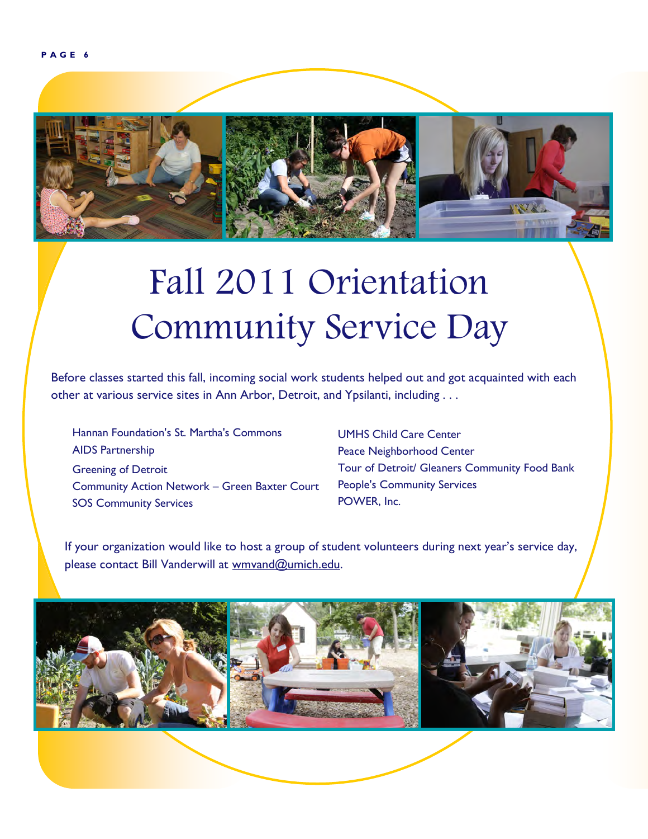

# Fall 2011 Orientation Community Service Day

Before classes started this fall, incoming social work students helped out and got acquainted with each other at various service sites in Ann Arbor, Detroit, and Ypsilanti, including . . .

Hannan Foundation's St. Martha's Commons AIDS Partnership Greening of Detroit Community Action Network – Green Baxter Court SOS Community Services

UMHS Child Care Center Peace Neighborhood Center Tour of Detroit/ Gleaners Community Food Bank People's Community Services POWER, Inc.

If your organization would like to host a group of student volunteers during next year's service day, please contact Bill Vanderwill at wmvand@umich.edu.

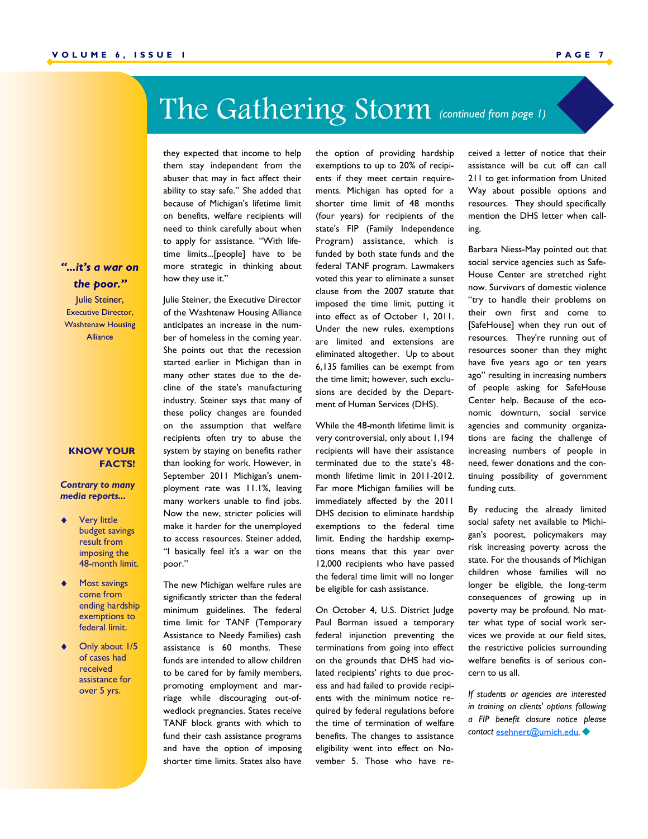# The Gathering Storm *(continued from page 1)*

they expected that income to help them stay independent from the abuser that may in fact affect their ability to stay safe." She added that because of Michigan's lifetime limit on benefits, welfare recipients will need to think carefully about when to apply for assistance. "With lifetime limits...[people] have to be more strategic in thinking about how they use it."

Julie Steiner, the Executive Director of the Washtenaw Housing Alliance anticipates an increase in the number of homeless in the coming year. She points out that the recession started earlier in Michigan than in many other states due to the decline of the state's manufacturing industry. Steiner says that many of these policy changes are founded on the assumption that welfare recipients often try to abuse the system by staying on benefits rather than looking for work. However, in September 2011 Michigan's unemployment rate was 11.1%, leaving many workers unable to find jobs. Now the new, stricter policies will make it harder for the unemployed to access resources. Steiner added, "I basically feel it's a war on the poor."

The new Michigan welfare rules are significantly stricter than the federal minimum guidelines. The federal time limit for TANF (Temporary Assistance to Needy Families) cash assistance is 60 months. These funds are intended to allow children to be cared for by family members, promoting employment and marriage while discouraging out-ofwedlock pregnancies. States receive TANF block grants with which to fund their cash assistance programs and have the option of imposing shorter time limits. States also have

the option of providing hardship exemptions to up to 20% of recipients if they meet certain requirements. Michigan has opted for a shorter time limit of 48 months (four years) for recipients of the state's FIP (Family Independence Program) assistance, which is funded by both state funds and the federal TANF program. Lawmakers voted this year to eliminate a sunset clause from the 2007 statute that imposed the time limit, putting it into effect as of October 1, 2011. Under the new rules, exemptions are limited and extensions are eliminated altogether. Up to about 6,135 families can be exempt from the time limit; however, such exclusions are decided by the Department of Human Services (DHS).

While the 48-month lifetime limit is very controversial, only about 1,194 recipients will have their assistance terminated due to the state's 48 month lifetime limit in 2011-2012. Far more Michigan families will be immediately affected by the 2011 DHS decision to eliminate hardship exemptions to the federal time limit. Ending the hardship exemptions means that this year over 12,000 recipients who have passed the federal time limit will no longer be eligible for cash assistance.

On October 4, U.S. District Judge Paul Borman issued a temporary federal injunction preventing the terminations from going into effect on the grounds that DHS had violated recipients' rights to due process and had failed to provide recipients with the minimum notice required by federal regulations before the time of termination of welfare benefits. The changes to assistance eligibility went into effect on November 5. Those who have received a letter of notice that their assistance will be cut off can call 211 to get information from United Way about possible options and resources. They should specifically mention the DHS letter when calling.

Barbara Niess-May pointed out that social service agencies such as Safe-House Center are stretched right now. Survivors of domestic violence "try to handle their problems on their own first and come to [SafeHouse] when they run out of resources. They're running out of resources sooner than they might have five years ago or ten years ago" resulting in increasing numbers of people asking for SafeHouse Center help. Because of the economic downturn, social service agencies and community organizations are facing the challenge of increasing numbers of people in need, fewer donations and the continuing possibility of government funding cuts.

By reducing the already limited social safety net available to Michigan's poorest, policymakers may risk increasing poverty across the state. For the thousands of Michigan children whose families will no longer be eligible, the long-term consequences of growing up in poverty may be profound. No matter what type of social work services we provide at our field sites, the restrictive policies surrounding welfare benefits is of serious concern to us all.

*If students or agencies are interested in training on clients' options following a FIP benefit closure notice please contact* [esehnert@umich.edu](mailto:esehnert@umich.edu)*.* 

### *"...it's a war on the poor."*

Julie Steiner, Executive Director, Washtenaw Housing Alliance

#### **KNOW YOUR FACTS!**

*Contrary to many media reports...* 

- Very little budget savings result from imposing the 48-month limit.
- Most savings come from ending hardship exemptions to federal limit.
- Only about 1/5 of cases had received assistance for over 5 yrs.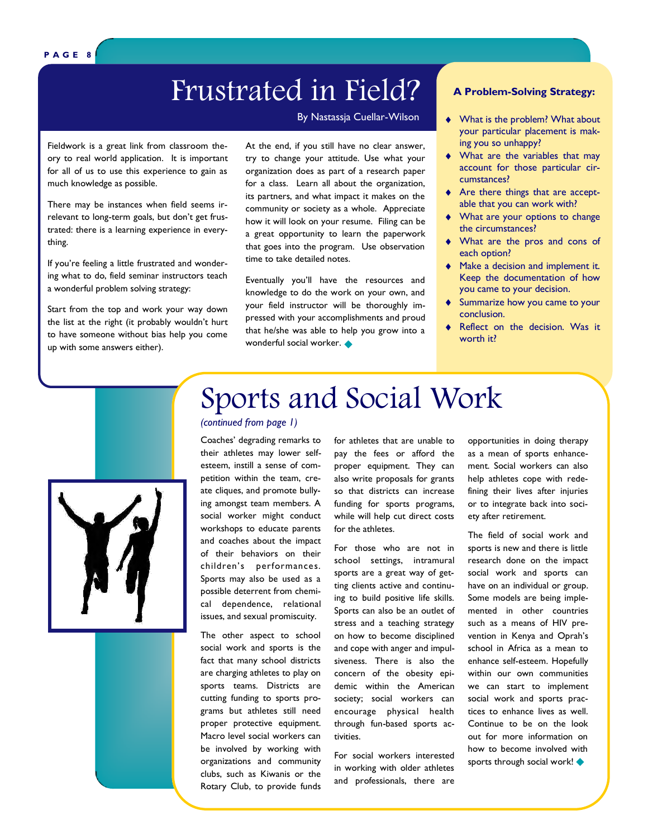## Frustrated in Field?

Fieldwork is a great link from classroom theory to real world application. It is important for all of us to use this experience to gain as much knowledge as possible.

There may be instances when field seems irrelevant to long-term goals, but don't get frustrated: there is a learning experience in everything.

If you're feeling a little frustrated and wondering what to do, field seminar instructors teach a wonderful problem solving strategy:

Start from the top and work your way down the list at the right (it probably wouldn't hurt to have someone without bias help you come up with some answers either).

At the end, if you still have no clear answer, try to change your attitude. Use what your organization does as part of a research paper for a class. Learn all about the organization, its partners, and what impact it makes on the community or society as a whole. Appreciate how it will look on your resume. Filing can be a great opportunity to learn the paperwork that goes into the program. Use observation time to take detailed notes.

Eventually you'll have the resources and knowledge to do the work on your own, and your field instructor will be thoroughly impressed with your accomplishments and proud that he/she was able to help you grow into a wonderful social worker.  $\blacklozenge$ 

#### **A Problem-Solving Strategy:**

- By Nastassja Cuellar-Wilson  $\bullet\quad$  What is the problem? What about your particular placement is making you so unhappy?
	- What are the variables that may account for those particular circumstances?
	- Are there things that are acceptable that you can work with?
	- What are your options to change the circumstances?
	- What are the pros and cons of each option?
	- Make a decision and implement it. Keep the documentation of how you came to your decision.
	- Summarize how you came to your conclusion.
	- Reflect on the decision. Was it worth it?



### Sports and Social Work *(continued from page 1)*

Coaches' degrading remarks to their athletes may lower selfesteem, instill a sense of competition within the team, create cliques, and promote bullying amongst team members. A social worker might conduct workshops to educate parents and coaches about the impact of their behaviors on their children's performances. Sports may also be used as a possible deterrent from chemical dependence, relational issues, and sexual promiscuity.

The other aspect to school social work and sports is the fact that many school districts are charging athletes to play on sports teams. Districts are cutting funding to sports programs but athletes still need proper protective equipment. Macro level social workers can be involved by working with organizations and community clubs, such as Kiwanis or the Rotary Club, to provide funds

for athletes that are unable to pay the fees or afford the proper equipment. They can also write proposals for grants so that districts can increase funding for sports programs, while will help cut direct costs for the athletes.

For those who are not in school settings, intramural sports are a great way of getting clients active and continuing to build positive life skills. Sports can also be an outlet of stress and a teaching strategy on how to become disciplined and cope with anger and impulsiveness. There is also the concern of the obesity epidemic within the American society; social workers can encourage physical health through fun-based sports activities.

For social workers interested in working with older athletes and professionals, there are

opportunities in doing therapy as a mean of sports enhancement. Social workers can also help athletes cope with redefining their lives after injuries or to integrate back into society after retirement.

The field of social work and sports is new and there is little research done on the impact social work and sports can have on an individual or group. Some models are being implemented in other countries such as a means of HIV prevention in Kenya and Oprah's school in Africa as a mean to enhance self-esteem. Hopefully within our own communities we can start to implement social work and sports practices to enhance lives as well. Continue to be on the look out for more information on how to become involved with sports through social work! <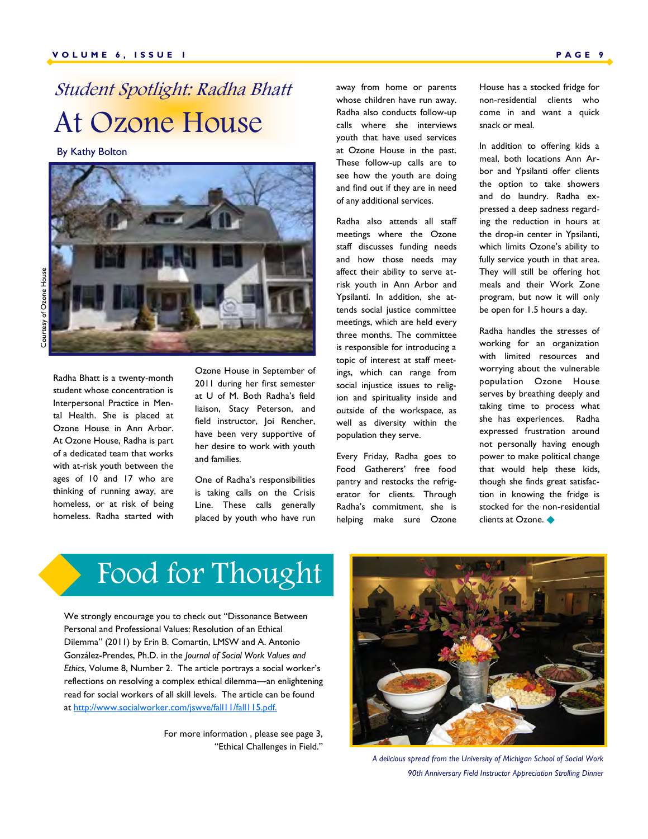## Student Spotlight: Radha Bhatt At Ozone House

By Kathy Bolton



Radha Bhatt is a twenty-month student whose concentration is Interpersonal Practice in Mental Health. She is placed at Ozone House in Ann Arbor. At Ozone House, Radha is part of a dedicated team that works with at-risk youth between the ages of 10 and 17 who are thinking of running away, are homeless, or at risk of being homeless. Radha started with Ozone House in September of 2011 during her first semester at U of M. Both Radha's field liaison, Stacy Peterson, and field instructor, Joi Rencher, have been very supportive of her desire to work with youth and families.

One of Radha's responsibilities is taking calls on the Crisis Line. These calls generally placed by youth who have run away from home or parents whose children have run away. Radha also conducts follow-up calls where she interviews youth that have used services at Ozone House in the past. These follow-up calls are to see how the youth are doing and find out if they are in need of any additional services.

Radha also attends all staff meetings where the Ozone staff discusses funding needs and how those needs may affect their ability to serve atrisk youth in Ann Arbor and Ypsilanti. In addition, she attends social justice committee meetings, which are held every three months. The committee is responsible for introducing a topic of interest at staff meetings, which can range from social injustice issues to religion and spirituality inside and outside of the workspace, as well as diversity within the population they serve.

Every Friday, Radha goes to Food Gatherers' free food pantry and restocks the refrigerator for clients. Through Radha's commitment, she is helping make sure Ozone House has a stocked fridge for non-residential clients who come in and want a quick snack or meal.

In addition to offering kids a meal, both locations Ann Arbor and Ypsilanti offer clients the option to take showers and do laundry. Radha expressed a deep sadness regarding the reduction in hours at the drop-in center in Ypsilanti, which limits Ozone's ability to fully service youth in that area. They will still be offering hot meals and their Work Zone program, but now it will only be open for 1.5 hours a day.

Radha handles the stresses of working for an organization with limited resources and worrying about the vulnerable population Ozone House serves by breathing deeply and taking time to process what she has experiences. Radha expressed frustration around not personally having enough power to make political change that would help these kids, though she finds great satisfaction in knowing the fridge is stocked for the non-residential clients at Ozone.

# Food for Thought

We strongly encourage you to check out "Dissonance Between Personal and Professional Values: Resolution of an Ethical Dilemma" (2011) by Erin B. Comartin, LMSW and A. Antonio González-Prendes, Ph.D. in the *Journal of Social Work Values and Ethics*, Volume 8, Number 2. The article portrays a social worker's reflections on resolving a complex ethical dilemma—an enlightening read for social workers of all skill levels. The article can be found at [http://www.socialworker.com/jswve/fall11/fall115.pdf.](http://www.socialworker.com/jswve/fall11/fall115.pdf)

> For more information , please see page 3, "Ethical Challenges in Field."



*A delicious spread from the University of Michigan School of Social Work 90th Anniversary Field Instructor Appreciation Strolling Dinner*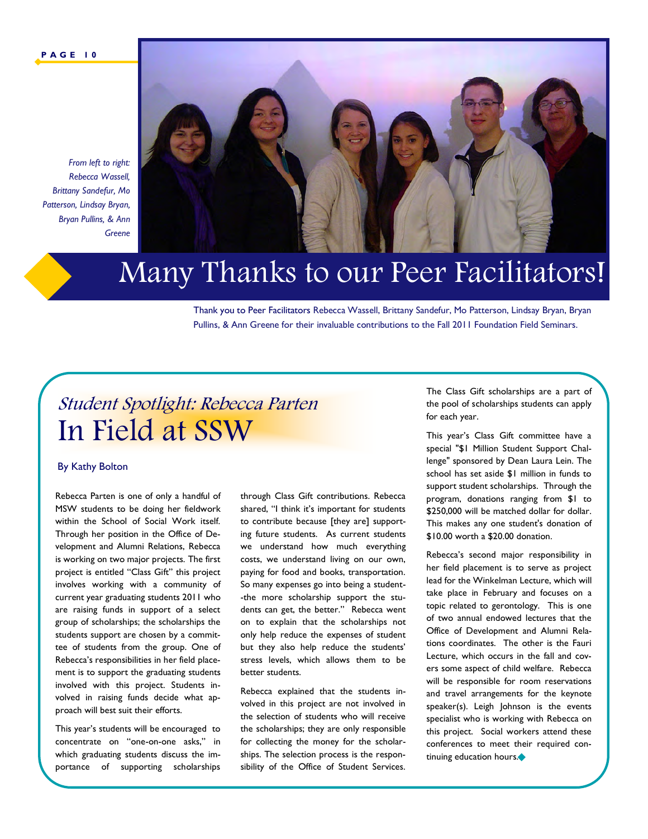#### **P A G E 1 0**



*From left to right: Rebecca Wassell, Brittany Sandefur, Mo Patterson, Lindsay Bryan, Bryan Pullins, & Ann Greene* 

## Many Thanks to our Peer Facilitators!

Thank you to Peer Facilitators Rebecca Wassell, Brittany Sandefur, Mo Patterson, Lindsay Bryan, Bryan Pullins, & Ann Greene for their invaluable contributions to the Fall 2011 Foundation Field Seminars.

### Student Spotlight: Rebecca Parten In Field at SSW

#### By Kathy Bolton

Rebecca Parten is one of only a handful of MSW students to be doing her fieldwork within the School of Social Work itself. Through her position in the Office of Development and Alumni Relations, Rebecca is working on two major projects. The first project is entitled "Class Gift" this project involves working with a community of current year graduating students 2011 who are raising funds in support of a select group of scholarships; the scholarships the students support are chosen by a committee of students from the group. One of Rebecca's responsibilities in her field placement is to support the graduating students involved with this project. Students involved in raising funds decide what approach will best suit their efforts.

This year's students will be encouraged to concentrate on "one-on-one asks," in which graduating students discuss the importance of supporting scholarships

through Class Gift contributions. Rebecca shared, "I think it's important for students to contribute because [they are] supporting future students. As current students we understand how much everything costs, we understand living on our own, paying for food and books, transportation. So many expenses go into being a student- -the more scholarship support the students can get, the better." Rebecca went on to explain that the scholarships not only help reduce the expenses of student but they also help reduce the students' stress levels, which allows them to be better students.

Rebecca explained that the students involved in this project are not involved in the selection of students who will receive the scholarships; they are only responsible for collecting the money for the scholarships. The selection process is the responsibility of the Office of Student Services. The Class Gift scholarships are a part of the pool of scholarships students can apply for each year.

This year's Class Gift committee have a special "\$1 Million Student Support Challenge" sponsored by Dean Laura Lein. The school has set aside \$1 million in funds to support student scholarships. Through the program, donations ranging from \$1 to \$250,000 will be matched dollar for dollar. This makes any one student's donation of \$10.00 worth a \$20.00 donation.

Rebecca's second major responsibility in her field placement is to serve as project lead for the Winkelman Lecture, which will take place in February and focuses on a topic related to gerontology. This is one of two annual endowed lectures that the Office of Development and Alumni Relations coordinates. The other is the Fauri Lecture, which occurs in the fall and covers some aspect of child welfare. Rebecca will be responsible for room reservations and travel arrangements for the keynote speaker(s). Leigh Johnson is the events specialist who is working with Rebecca on this project. Social workers attend these conferences to meet their required continuing education hours.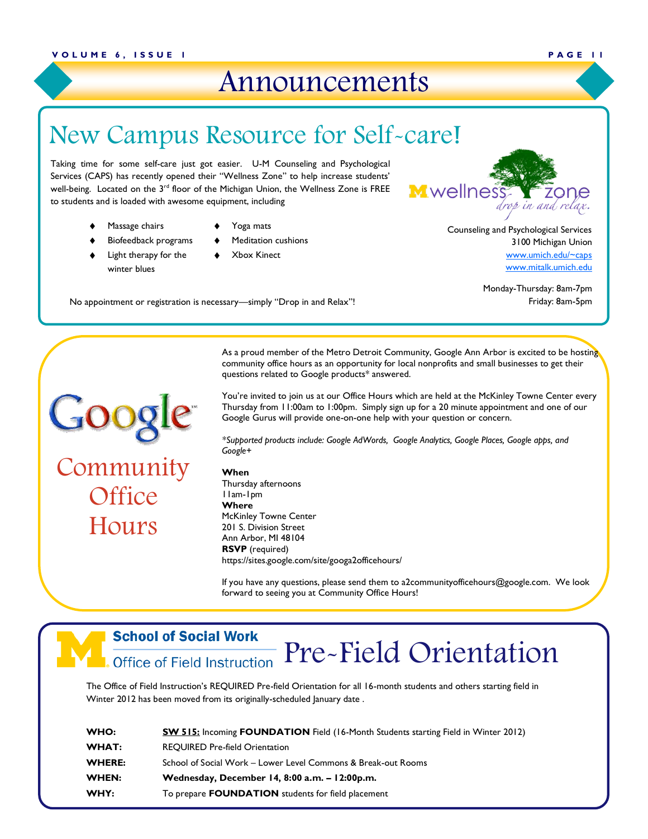### Announcements

### New Campus Resource for Self-care!

eir "Wellness Zone" to help increase students'<br>he Michigan Union, the Wellness Zone is FREE<br>equipment, including<br>equipment, including Taking time for some self-care just got easier. U-M Counseling and Psychological Services (CAPS) has recently opened their "Wellness Zone" to help increase students' well-being. Located on the 3<sup>rd</sup> floor of the Michigan Union, the Wellness Zone is FREE to students and is loaded with awesome equipment, including

- Massage chairs
- Biofeedback programs
- Yoga mats
- 
- Light therapy for the winter blues
- ◆ Yoga mats<br>◆ Meditation cushions<br>◆ Xbox Kinect Meditation cushions
- Xbox Kinect

Counseling and Psychological Services 3100 Michigan Union [www.umich.edu/~caps](http://www.umich.edu/~caps) 

[www.mitalk.umich.edu](http://www.mitalk.umich.edu)

Monday-Thursday: 8am-7pm No appointment or registration is necessary—simply "Drop in and Relax"! Friday: 8am-5pm

Goog Community **Office** 

Hours

As a proud member of the Metro Detroit Community, Google Ann Arbor is excited to be hosting community office hours as an opportunity for local nonprofits and small businesses to get their

You're invited to join us at our Office Hours which are held at the McKinley Towne Center every Thursday from 11:00am to 1:00pm. Simply sign up for a 20 minute appointment and one of our Google Gurus will provide one-on-one help with your question or concern.

*\*Supported products include: Google AdWords, Google Analytics, Google Places, Google apps, and Google+* 

#### **When**

Thursday afternoons 11am-1pm **Where**  McKinley Towne Center 201 S. Division Street Ann Arbor, MI 48104 **RSVP** (required) https://sites.google.com/site/googa2officehours/

If you have any questions, please send them to a2communityofficehours@google.com. We look forward to seeing you at Community Office Hours!

### **School of Social Work**

### Pre-Field Orientation **Office of Field Instruction**

The Office of Field Instruction's REQUIRED Pre-field Orientation for all 16-month students and others starting field in Winter 2012 has been moved from its originally-scheduled January date .

| WHO:         | <b>SW 515:</b> Incoming <b>FOUNDATION</b> Field (16-Month Students starting Field in Winter 2012) |
|--------------|---------------------------------------------------------------------------------------------------|
| <b>WHAT:</b> | <b>REOUIRED Pre-field Orientation</b>                                                             |
| WHERE:       | School of Social Work – Lower Level Commons & Break-out Rooms                                     |
| WHEN:        | Wednesday, December 14, 8:00 a.m. - 12:00p.m.                                                     |
| WHY:         | To prepare <b>FOUNDATION</b> students for field placement                                         |

questions related to Google products\* answered.